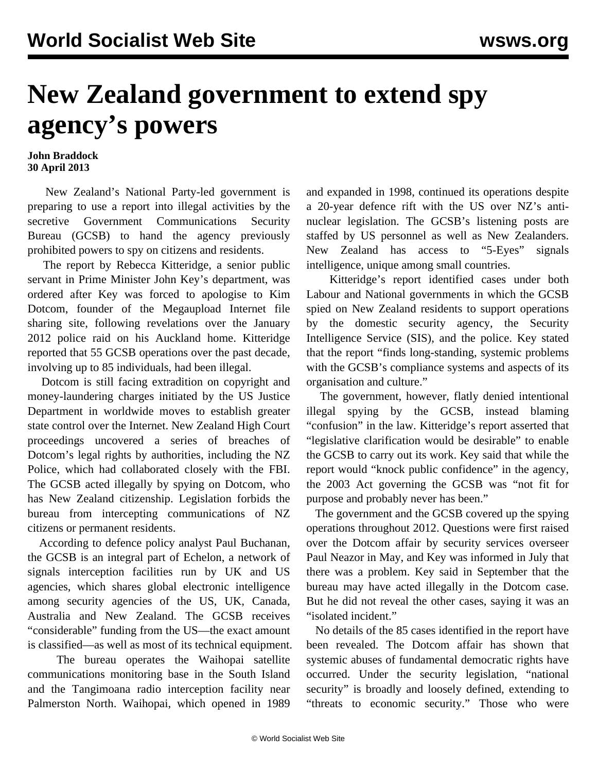## **New Zealand government to extend spy agency's powers**

## **John Braddock 30 April 2013**

 New Zealand's National Party-led government is preparing to use a report into illegal activities by the secretive Government Communications Security Bureau (GCSB) to hand the agency previously prohibited powers to spy on citizens and residents.

 The report by Rebecca Kitteridge, a senior public servant in Prime Minister John Key's department, was ordered after Key was forced to apologise to Kim Dotcom, founder of the Megaupload Internet file sharing site, following revelations over the January 2012 police raid on his Auckland home. Kitteridge reported that 55 GCSB operations over the past decade, involving up to 85 individuals, had been illegal.

 Dotcom is still facing extradition on copyright and money-laundering charges initiated by the US Justice Department in worldwide moves to establish greater state control over the Internet. New Zealand High Court proceedings uncovered a series of breaches of Dotcom's legal rights by authorities, including the NZ Police, which had collaborated closely with the FBI. The GCSB acted illegally by spying on Dotcom, who has New Zealand citizenship. Legislation forbids the bureau from intercepting communications of NZ citizens or permanent residents.

 According to defence policy analyst Paul Buchanan, the GCSB is an integral part of Echelon, a network of signals interception facilities run by UK and US agencies, which shares global electronic intelligence among security agencies of the US, UK, Canada, Australia and New Zealand. The GCSB receives "considerable" funding from the US—the exact amount is classified—as well as most of its technical equipment.

 The bureau operates the Waihopai satellite communications monitoring base in the South Island and the Tangimoana radio interception facility near Palmerston North. Waihopai, which opened in 1989

and expanded in 1998, continued its operations despite a 20-year defence rift with the US over NZ's antinuclear legislation. The GCSB's listening posts are staffed by US personnel as well as New Zealanders. New Zealand has access to "5-Eyes" signals intelligence, unique among small countries.

 Kitteridge's report identified cases under both Labour and National governments in which the GCSB spied on New Zealand residents to support operations by the domestic security agency, the Security Intelligence Service (SIS), and the police. Key stated that the report "finds long-standing, systemic problems with the GCSB's compliance systems and aspects of its organisation and culture."

 The government, however, flatly denied intentional illegal spying by the GCSB, instead blaming "confusion" in the law. Kitteridge's report asserted that "legislative clarification would be desirable" to enable the GCSB to carry out its work. Key said that while the report would "knock public confidence" in the agency, the 2003 Act governing the GCSB was "not fit for purpose and probably never has been."

 The government and the GCSB covered up the spying operations throughout 2012. Questions were first raised over the Dotcom affair by security services overseer Paul Neazor in May, and Key was informed in July that there was a problem. Key said in September that the bureau may have acted illegally in the Dotcom case. But he did not reveal the other cases, saying it was an "isolated incident."

 No details of the 85 cases identified in the report have been revealed. The Dotcom affair has shown that systemic abuses of fundamental democratic rights have occurred. Under the security legislation, "national security" is broadly and loosely defined, extending to "threats to economic security." Those who were